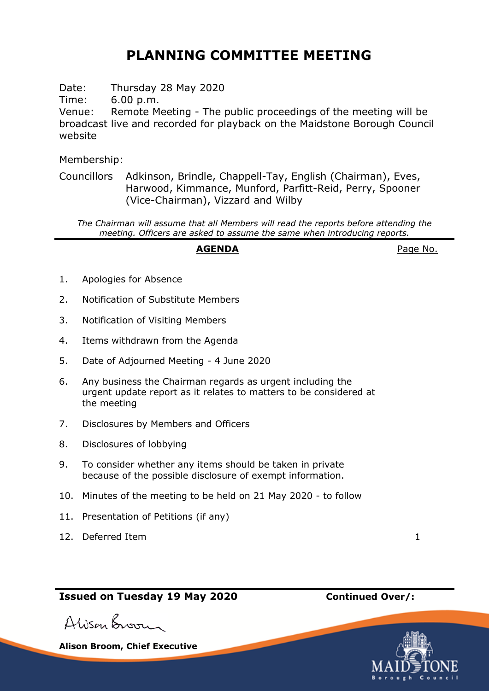## **PLANNING COMMITTEE MEETING**

Date: Thursday 28 May 2020

Time: 6.00 p.m.

Venue: Remote Meeting - The public proceedings of the meeting will be broadcast live and recorded for playback on the Maidstone Borough Council website

Membership:

Councillors Adkinson, Brindle, Chappell-Tay, English (Chairman), Eves, Harwood, Kimmance, Munford, Parfitt-Reid, Perry, Spooner (Vice-Chairman), Vizzard and Wilby

*The Chairman will assume that all Members will read the reports before attending the meeting. Officers are asked to assume the same when introducing reports.*

## AGENDA **AGENDA**Page No.

- 1. Apologies for Absence
- 2. Notification of Substitute Members
- 3. Notification of Visiting Members
- 4. Items withdrawn from the Agenda
- 5. Date of Adjourned Meeting 4 June 2020
- 6. Any business the Chairman regards as urgent including the urgent update report as it relates to matters to be considered at the meeting
- 7. Disclosures by Members and Officers
- 8. Disclosures of lobbying
- 9. To consider whether any items should be taken in private because of the possible disclosure of exempt information.
- 10. Minutes of the meeting to be held on 21 May 2020 to follow
- 11. Presentation of Petitions (if any)
- 12. Deferred Item 1

**Issued on Tuesday 19 May 2020 Continued Over/:**

Alisan Broom

**Alison Broom, Chief Executive**